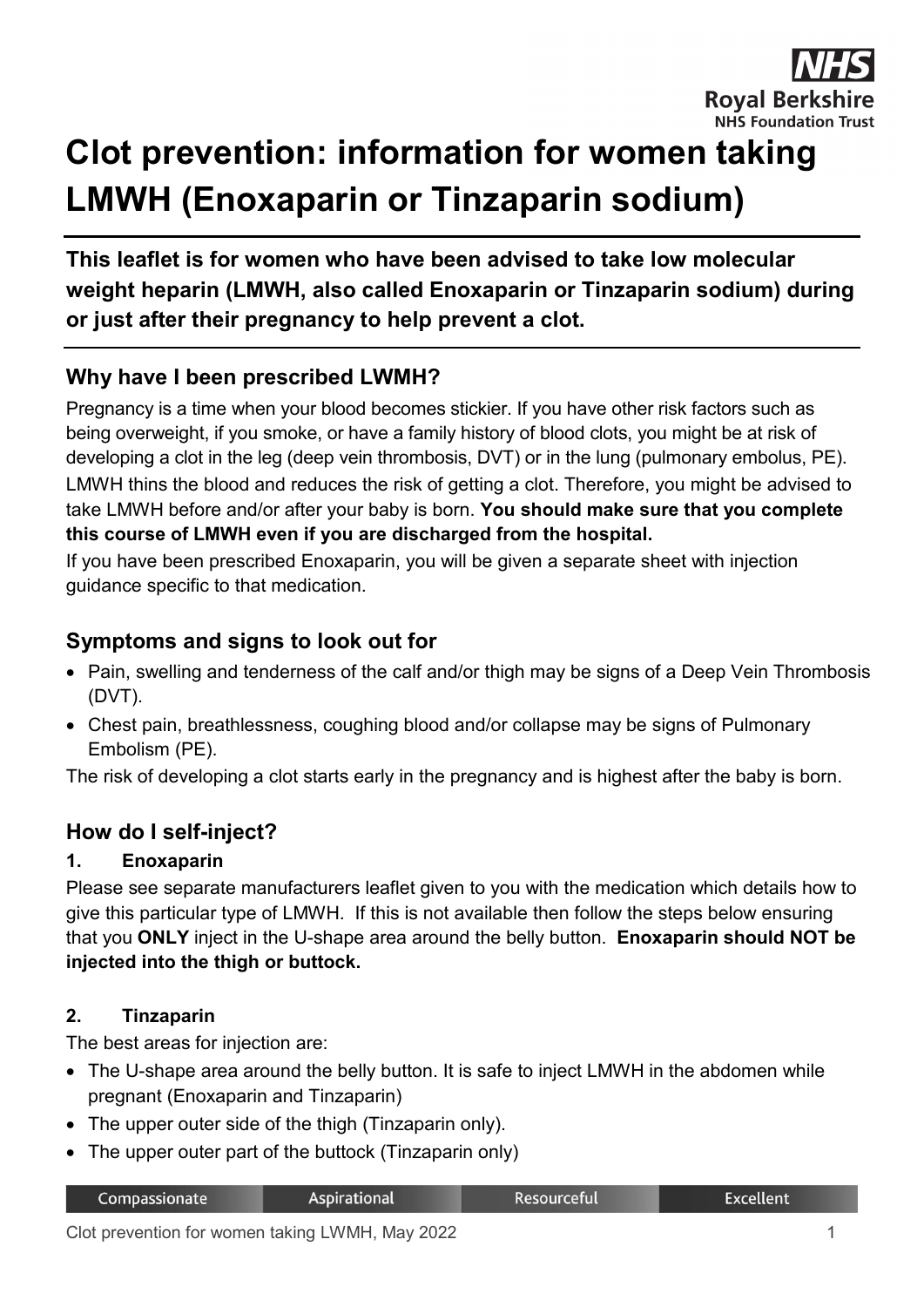

# **Clot prevention: information for women taking LMWH (Enoxaparin or Tinzaparin sodium)**

**This leaflet is for women who have been advised to take low molecular weight heparin (LMWH, also called Enoxaparin or Tinzaparin sodium) during or just after their pregnancy to help prevent a clot.**

# **Why have I been prescribed LWMH?**

Pregnancy is a time when your blood becomes stickier. If you have other risk factors such as being overweight, if you smoke, or have a family history of blood clots, you might be at risk of developing a clot in the leg (deep vein thrombosis, DVT) or in the lung (pulmonary embolus, PE). LMWH thins the blood and reduces the risk of getting a clot. Therefore, you might be advised to take LMWH before and/or after your baby is born. **You should make sure that you complete this course of LMWH even if you are discharged from the hospital.**

If you have been prescribed Enoxaparin, you will be given a separate sheet with injection guidance specific to that medication.

# **Symptoms and signs to look out for**

- Pain, swelling and tenderness of the calf and/or thigh may be signs of a Deep Vein Thrombosis (DVT).
- Chest pain, breathlessness, coughing blood and/or collapse may be signs of Pulmonary Embolism (PE).

The risk of developing a clot starts early in the pregnancy and is highest after the baby is born.

## **How do I self-inject?**

#### **1. Enoxaparin**

Please see separate manufacturers leaflet given to you with the medication which details how to give this particular type of LMWH. If this is not available then follow the steps below ensuring that you **ONLY** inject in the U-shape area around the belly button. **Enoxaparin should NOT be injected into the thigh or buttock.** 

#### **2. Tinzaparin**

The best areas for injection are:

- The U-shape area around the belly button. It is safe to inject LMWH in the abdomen while pregnant (Enoxaparin and Tinzaparin)
- The upper outer side of the thigh (Tinzaparin only).
- The upper outer part of the buttock (Tinzaparin only)

| Compassionate | <b>Aspirational</b> | Resourceful' | <b>Excellent</b> |
|---------------|---------------------|--------------|------------------|
|---------------|---------------------|--------------|------------------|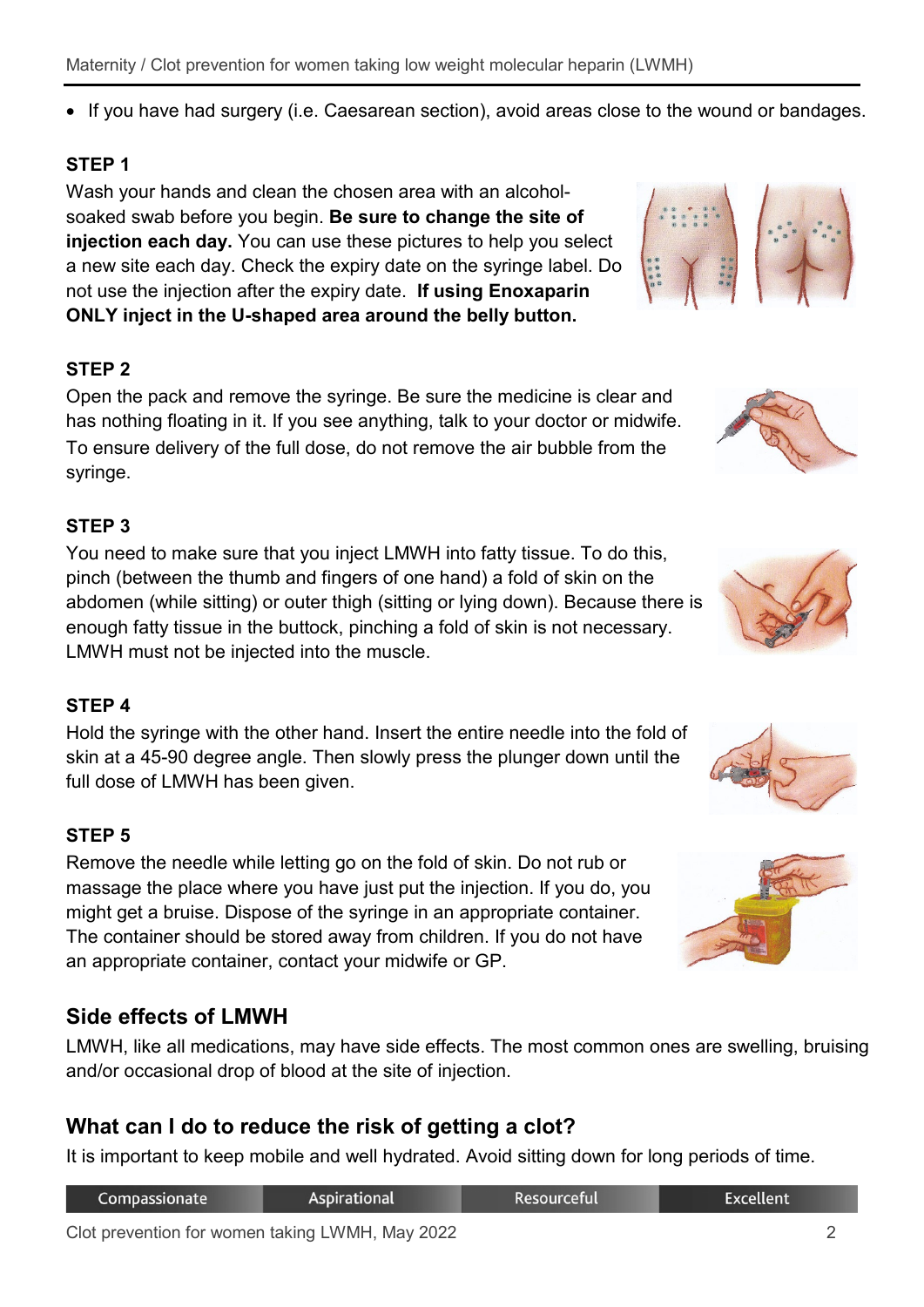#### Maternity / Clot prevention for women taking low weight molecular heparin (LWMH)

• If you have had surgery (i.e. Caesarean section), avoid areas close to the wound or bandages.

## **STEP 1**

Wash your hands and clean the chosen area with an alcoholsoaked swab before you begin. **Be sure to change the site of injection each day.** You can use these pictures to help you select a new site each day. Check the expiry date on the syringe label. Do not use the injection after the expiry date. **If using Enoxaparin ONLY inject in the U-shaped area around the belly button.**

#### **STEP 2**

Open the pack and remove the syringe. Be sure the medicine is clear and has nothing floating in it. If you see anything, talk to your doctor or midwife. To ensure delivery of the full dose, do not remove the air bubble from the syringe.

#### **STEP 3**

You need to make sure that you inject LMWH into fatty tissue. To do this, pinch (between the thumb and fingers of one hand) a fold of skin on the abdomen (while sitting) or outer thigh (sitting or lying down). Because there is enough fatty tissue in the buttock, pinching a fold of skin is not necessary. LMWH must not be injected into the muscle.

## **STEP 4**

Hold the syringe with the other hand. Insert the entire needle into the fold of skin at a 45-90 degree angle. Then slowly press the plunger down until the full dose of LMWH has been given.

#### **STEP 5**

Remove the needle while letting go on the fold of skin. Do not rub or massage the place where you have just put the injection. If you do, you might get a bruise. Dispose of the syringe in an appropriate container. The container should be stored away from children. If you do not have an appropriate container, contact your midwife or GP.

## **Side effects of LMWH**

LMWH, like all medications, may have side effects. The most common ones are swelling, bruising and/or occasional drop of blood at the site of injection.

# **What can I do to reduce the risk of getting a clot?**

It is important to keep mobile and well hydrated. Avoid sitting down for long periods of time.

| Compassionate | Aspirational | <b>Resourceful</b> | <b>Excellent</b> |
|---------------|--------------|--------------------|------------------|
|               |              |                    |                  |









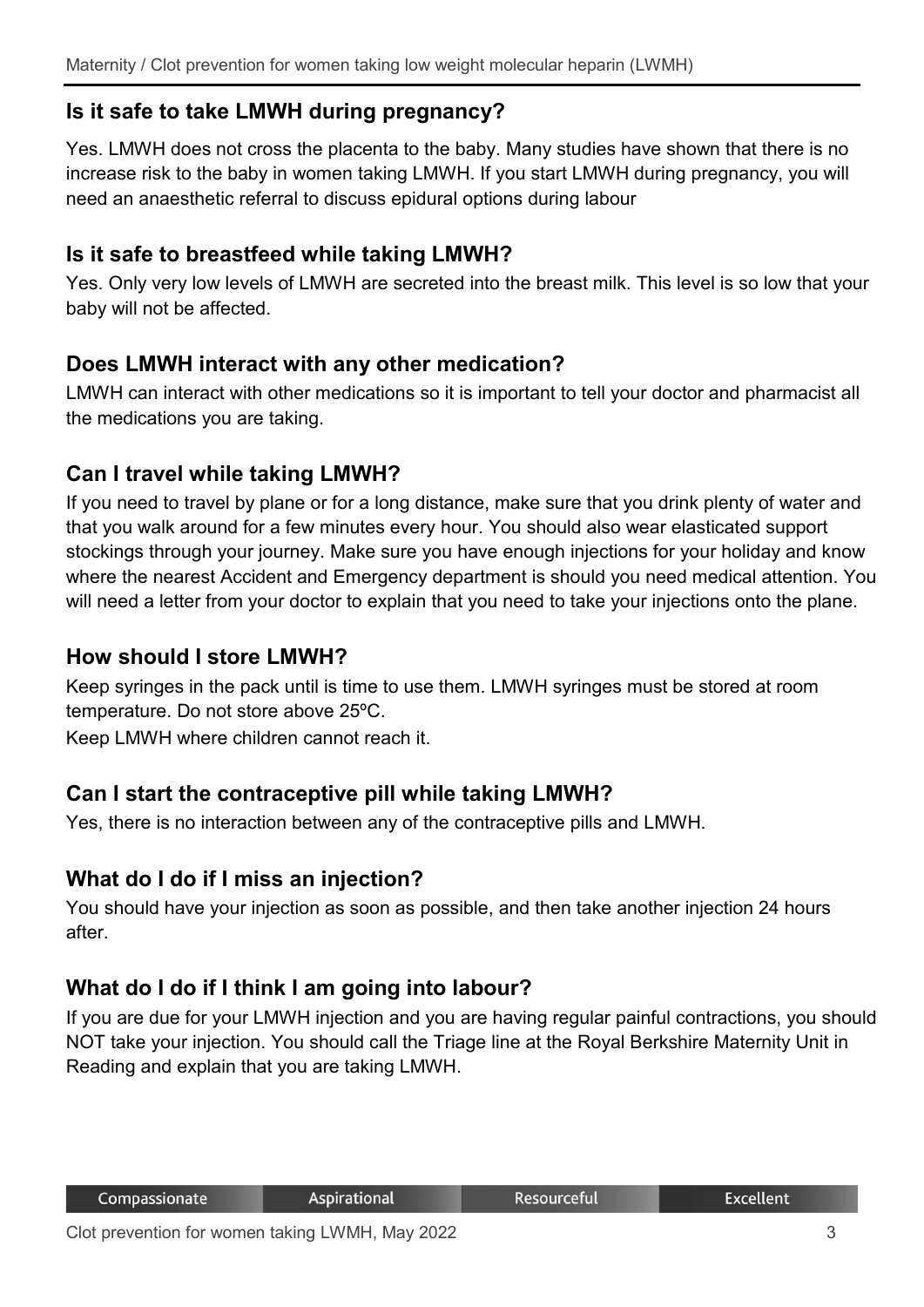# **Is it safe to take LMWH during pregnancy?**

Yes. LMWH does not cross the placenta to the baby. Many studies have shown that there is no increase risk to the baby in women taking LMWH. If you start LMWH during pregnancy, you will need an anaesthetic referral to discuss epidural options during labour

# **Is it safe to breastfeed while taking LMWH?**

Yes. Only very low levels of LMWH are secreted into the breast milk. This level is so low that your baby will not be affected.

# **Does LMWH interact with any other medication?**

LMWH can interact with other medications so it is important to tell your doctor and pharmacist all the medications you are taking.

# **Can I travel while taking LMWH?**

If you need to travel by plane or for a long distance, make sure that you drink plenty of water and that you walk around for a few minutes every hour. You should also wear elasticated support stockings through your journey. Make sure you have enough injections for your holiday and know where the nearest Accident and Emergency department is should you need medical attention. You will need a letter from your doctor to explain that you need to take your injections onto the plane.

## **How should I store LMWH?**

Keep syringes in the pack until is time to use them. LMWH syringes must be stored at room temperature. Do not store above 25ºC.

Keep LMWH where children cannot reach it.

# **Can I start the contraceptive pill while taking LMWH?**

Yes, there is no interaction between any of the contraceptive pills and LMWH.

# **What do I do if I miss an injection?**

You should have your injection as soon as possible, and then take another injection 24 hours after.

# **What do I do if I think I am going into labour?**

If you are due for your LMWH injection and you are having regular painful contractions, you should NOT take your injection. You should call the Triage line at the Royal Berkshire Maternity Unit in Reading and explain that you are taking LMWH.